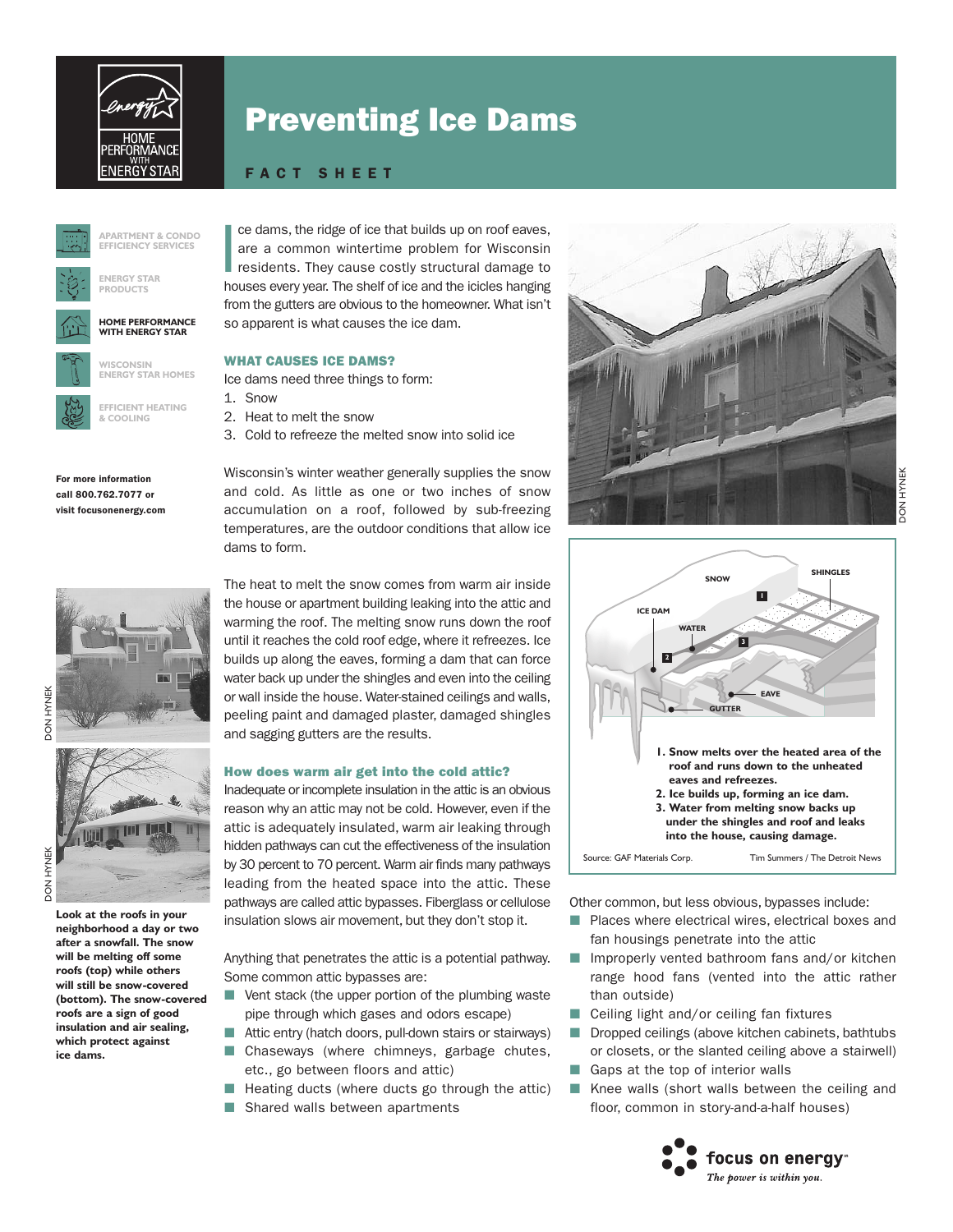

# Preventing Ice Dams

# FACT SHEET



**APARTMENT & CONDO EFFICIENCY SERVICES**



**ENERGY STAR PRODUCTS**



**HOME PERFORMANCE WITH ENERGY STAR**





**EFFICIENT HEATING & COOLING**

For more information call 800.762.7077 or visit focusonenergy.com





DON HYNEK **DON HYNEK Look at the roofs in your neighborhood a day or two after a snowfall. The snow will be melting off some roofs (top) while others will still be snow-covered (bottom). The snow-covered roofs are a sign of good insulation and air sealing,**

**which protect against** 

**ice dams.**

I ce dams, the ridge of ice that builds up on roof eaves,<br>are a common wintertime problem for Wisconsin<br>residents. They cause costly structural damage to<br>burge averyway. The shelf of ice and the islake bonding ce dams, the ridge of ice that builds up on roof eaves, are a common wintertime problem for Wisconsin houses every year. The shelf of ice and the icicles hanging from the gutters are obvious to the homeowner. What isn't so apparent is what causes the ice dam.

## WHAT CAUSES ICE DAMS?

Ice dams need three things to form:

- 1. Snow
- 2. Heat to melt the snow
- 3. Cold to refreeze the melted snow into solid ice

Wisconsin's winter weather generally supplies the snow and cold. As little as one or two inches of snow accumulation on a roof, followed by sub-freezing temperatures, are the outdoor conditions that allow ice dams to form.

The heat to melt the snow comes from warm air inside the house or apartment building leaking into the attic and warming the roof. The melting snow runs down the roof until it reaches the cold roof edge, where it refreezes. Ice builds up along the eaves, forming a dam that can force water back up under the shingles and even into the ceiling or wall inside the house. Water-stained ceilings and walls, peeling paint and damaged plaster, damaged shingles and sagging gutters are the results.

# How does warm air get into the cold attic?

Inadequate or incomplete insulation in the attic is an obvious reason why an attic may not be cold. However, even if the attic is adequately insulated, warm air leaking through hidden pathways can cut the effectiveness of the insulation by 30 percent to 70 percent. Warm air finds many pathways leading from the heated space into the attic. These pathways are called attic bypasses. Fiberglass or cellulose insulation slows air movement, but they don't stop it.

Anything that penetrates the attic is a potential pathway. Some common attic bypasses are:

- $\blacksquare$  Vent stack (the upper portion of the plumbing waste pipe through which gases and odors escape)
- $\blacksquare$  Attic entry (hatch doors, pull-down stairs or stairways)
- $\blacksquare$  Chaseways (where chimneys, garbage chutes, etc., go between floors and attic)
- $\blacksquare$  Heating ducts (where ducts go through the attic)
- $\blacksquare$  Shared walls between apartments





Other common, but less obvious, bypasses include:

- $\blacksquare$  Places where electrical wires, electrical boxes and fan housings penetrate into the attic
- $\blacksquare$  Improperly vented bathroom fans and/or kitchen range hood fans (vented into the attic rather than outside)
- $\blacksquare$  Ceiling light and/or ceiling fan fixtures
- $\blacksquare$  Dropped ceilings (above kitchen cabinets, bathtubs or closets, or the slanted ceiling above a stairwell)  $\Box$  Gaps at the top of interior walls
- 
- Knee walls (short walls between the ceiling and floor, common in story-and-a-half houses)